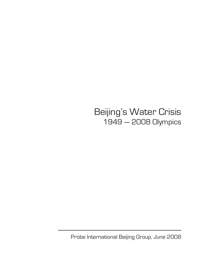Beijing's Water Crisis 1949 — 2008 Olympics

Probe International Beijing Group, June 2008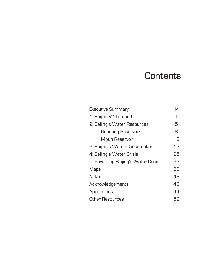# **Contents**

| <b>Executive Summary</b>            | iv |
|-------------------------------------|----|
| 1: Beijing Watershed                | 1  |
| 2: Beijing's Water Resources        | 5  |
| <b>Guanting Reservoir</b>           | 8  |
| Miyun Reservoir                     | 10 |
| 3: Beijing's Water Consumption      | 12 |
| 4: Beijing's Water Crisis           | 25 |
| 5: Reversing Beijing's Water Crisis | 32 |
| Maps                                | 39 |
| <b>Notes</b>                        | 42 |
| Acknowledgements                    | 43 |
| Appendices                          | 44 |
| Other Resources                     | 52 |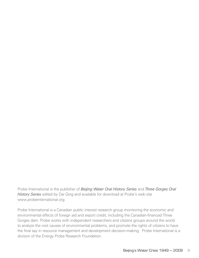Probe International is the publisher of *Beijing Water Oral History Series* and *Three Gorges Oral History Series* edited by Dai Qing and available for download at Probe's web site www.probeinternational.org.

Probe International is a Canadian public interest research group monitoring the economic and environmental effects of foreign aid and export credit, including the Canadian-financed Three Gorges dam. Probe works with independent researchers and citizens groups around the world to analyze the root causes of environmental problems, and promote the rights of citizens to have the final say in resource management and development decision-making. Probe International is a division of the Energy Probe Research Foundation.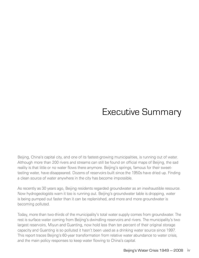# Executive Summary

Beijing, China's capital city, and one of its fastest-growing municipalities, is running out of water. Although more than 200 rivers and streams can still be found on official maps of Beijing, the sad reality is that little or no water flows there anymore. Beijing's springs, famous for their sweettasting water, have disappeared. Dozens of reservoirs built since the 1950s have dried up. Finding a clean source of water anywhere in the city has become impossible.

As recently as 30 years ago, Beijing residents regarded groundwater as an inexhaustible resource. Now hydrogeologists warn it too is running out. Beijing's groundwater table is dropping, water is being pumped out faster than it can be replenished, and more and more groundwater is becoming polluted.

Today, more than two-thirds of the municipality's total water supply comes from groundwater. The rest is surface water coming from Beijing's dwindling reservoirs and rivers. The municipality's two largest reservoirs, Miyun and Guanting, now hold less than ten percent of their original storage capacity and Guanting is so polluted it hasn't been used as a drinking water source since 1997. This report traces Beijing's 60-year transformation from relative water abundance to water crisis, and the main policy responses to keep water flowing to China's capital.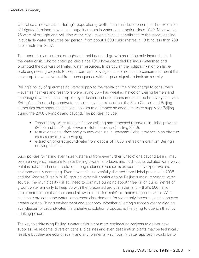Official data indicates that Beijing's population growth, industrial development, and its expansion of irrigated farmland have driven huge increases in water consumption since 1949. Meanwhile, 25 years of drought and pollution of the city's reservoirs have contributed to the steady decline in available water resources per person, from about 1,000 cubic metres in 1949 to less than 230 cubic metres in 2007.

The report also argues that drought and rapid demand growth aren't the only factors behind the water crisis. Short-sighted policies since 1949 have degraded Beijing's watershed and promoted the over-use of limited water resources. In particular, the political fixation on largescale engineering projects to keep urban taps flowing at little or no cost to consumers meant that consumption was divorced from consequence without price signals to indicate scarcity.

Beijing's policy of guaranteeing water supply to the capital at little or no charge to consumers – even as its rivers and reservoirs were drying up – has wreaked havoc on Beijing farmers and encouraged wasteful consumption by industrial and urban consumers. In the last five years, with Beijing's surface and groundwater supplies nearing exhaustion, the State Council and Beijing authorities have announced several policies to guarantee an adequate water supply for Beijing during the 2008 Olympics and beyond. The policies include:

- "emergency water transfers" from existing and proposed reservoirs in Hebei province (2008) and the Yangtze River in Hubei province (starting 2010);
- restrictions on surface and groundwater use in upstream Hebei province in an effort to increase river flow to Beijing;
- extraction of karst groundwater from depths of 1,000 metres or more from Beijing's outlying districts.

Such policies for taking ever more water and from ever further jurisdictions beyond Beijing may be an emergency measure to ease Beijing's water shortages and flush out its polluted waterways, but it is not a fundamental solution. Long distance diversion is extraordinarily expensive and environmentally damaging. Even if water is successfully diverted from Hebei province in 2008 and the Yangtze River in 2010, groundwater will continue to be Beijing's most important water source. The municipality will still need to continue pumping about three billion cubic metres of groundwater annually to keep up with the forecasted growth in demand – that's 500 million cubic metres more than the annual allowable limit for "safe" extraction of groundwater. With each new project to tap water somewhere else, demand for water only increases, and at an ever greater cost to China's environment and economy. Whether diverting surface water or digging ever-deeper for groundwater, the underlying solution proposed is like trying to quench thirst by drinking poison.

The key to addressing Beijing's water crisis is not more engineering projects to deliver new supplies. More dams, diversion canals, pipelines and even desalination plants may be technically feasible but they are economically and environmentally ruinous. A better approach would be to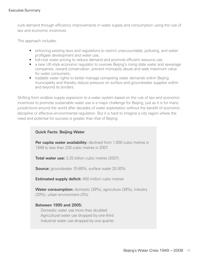curb demand through efficiency improvements in water supply and consumption using the rule of law and economic incentives.

This approach includes:

- enforcing existing laws and regulations to restrict unaccountable, polluting, and waterprofligate development and water use;
- full-cost water pricing to reduce demand and promote efficient resource use;
- a new UK-style economic regulator to oversee Beijing's rising state water and sewerage companies, reward conservation, prevent monopoly abuse and seek maximum value for water consumers;
- tradable water rights to better manage competing water demands within Beijing municipality and thereby reduce pressure on surface and groundwater supplies within and beyond its borders.

Shifting from endless supply expansion to a water system based on the rule of law and economic incentives to promote sustainable water use is a major challenge for Beijing, just as it is for many jurisdictions around the world after decades of water exploitation without the benefit of economic discipline or effective environmental regulation. But it is hard to imagine a city region where the need and potential for success is greater than that of Beijing.

#### Quick Facts: Beijing Water

**Per capita water availability:** declined from 1,000 cubic metres in 1949 to less than 230 cubic metres in 2007

**Total water use:** 3.25 billion cubic metres (2007)

**Source:** groundwater 70-80%; surface water 20-30%

**Estimated supply deficit:** 400 million cubic metres

**Water consumption:** domestic (39%), agriculture (38%), industry (20%), urban environment (3%)

#### Between 1995 and 2005:

 Domestic water use more than doubled Agricultural water use dropped by one-third Industrial water use dropped by one quarter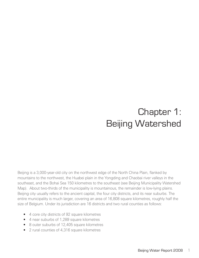# Chapter 1: Beijing Watershed

Beijing is a 3,000-year-old city on the northwest edge of the North China Plain, flanked by mountains to the northwest, the Huabei plain in the Yongding and Chaobai river valleys in the southeast, and the Bohai Sea 150 kilometres to the southeast (see Beijing Municipality Watershed Map). About two-thirds of the municipality is mountainous, the remainder is low-lying plains. Beijing city usually refers to the ancient capital, the four city districts, and its near suburbs. The entire municipality is much larger, covering an area of 16,808 square kilometres, roughly half the size of Belgium. Under its jurisdiction are 16 districts and two rural counties as follows:

- 4 core city districts of 92 square kilometres
- • 4 near suburbs of 1,289 square kilometres
- 8 outer suburbs of 12,405 square kilometres
- • 2 rural counties of 4,316 square kilometres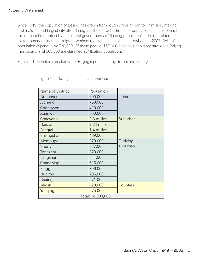Since 1949, the population of Beijing has grown from roughly four million to 17 million, making it China's second largest city after Shanghai. The current estimate of population includes several million people classified by the central government as "floating population" – the official term for temporary residents or migrant workers registered as residents elsewhere. In 2007, Beijing's population expanded by 520,000. Of these people, 157,000 have household registration in Beijing municipality and 363,000 are classified as "floating population."

Figure 1-1 provides a breakdown of Beijing's population by district and county.

| Name of District | Population        |          |
|------------------|-------------------|----------|
| Dongcheng        | 600,000           | Urban    |
| Xicheng          | 750,000           |          |
| Chongwen         | 410,000           |          |
| Xuanwu           | 550,000           |          |
| Chaoyang         | 2.3 million       | Suburban |
| Haidian          | 2.24 million      |          |
| Fengtai          | 1.4 million       |          |
| Shijingshan      | 489,000           |          |
| Mentougou        | 270,000           | Outlying |
| Shunyi           | 637,000           | suburban |
| Tongzhou         | 870,000           |          |
| Fangshan         | 814,000           |          |
| Changping        | 615,000           |          |
| Pinggu           | 396,000           |          |
| Huairou          | 296,000           |          |
| Daxing           | 671,000           |          |
| Miyun            | 420,000           | Counties |
| Yanqing          | 275,000           |          |
|                  | Total: 14,003,000 |          |

Figure 1-1: Beijing's districts and counties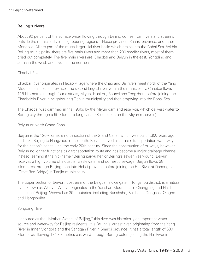#### Beijing's rivers

About 90 percent of the surface water flowing through Beijing comes from rivers and streams outside the municipality in neighbouring regions – Hebei province, Shanxi province, and Inner Mongolia. All are part of the much larger Hai river basin which drains into the Bohai Sea. Within Beijing municipality, there are five main rivers and more than 200 smaller rivers, most of them dried out completely. The five main rivers are: Chaobai and Beiyun in the east, Yongding and Juma in the west, and Jiyun in the northeast.

#### Chaobai River

Chaobai River originates in Hecao village where the Chao and Bai rivers meet north of the Yang Mountains in Hebei province. The second largest river within the municipality, Chaobai flows 118 kilometres through four districts, Miyun, Huairou, Shunyi and Tongzhou, before joining the Chaobaixin River in neighbouring Tianjin municipality and then emptying into the Bohai Sea.

The Chaobai was dammed in the 1960s by the Miyun dam and reservoir, which delivers water to Beijing city through a 95-kilometre-long canal. (See section on the Miyun reservoir.)

#### Beiyun or North Grand Canal

Beiyun is the 120-kilometre north section of the Grand Canal, which was built 1,300 years ago and links Beijing to Hangzhou in the south. Beiyun served as a major transportation waterway for the nation's capital until the early 20th century. Since the construction of railways, however, Beiyun no longer functions as a transportation route and has become a major drainage channel instead, earning it the nickname "Beijing paiwu he" or Beijing's sewer. Year-round, Beiyun receives a high volume of industrial wastewater and domestic sewage. Beiyun flows 38 kilometres through Beijing then into Hebei province before joining the Hai River at Dahongqiao (Great Red Bridge) in Tianjin municipality.

The upper section of Beiyun, upstream of the Beiguan sluice gate in Tongzhou district, is a natural river, known as Wenyu. Wenyu originates in the Yanshan Mountains in Changping and Haidian districts of Beijing. Wenyu has 39 tributaries, including Nanshahe, Beishahe, Dongsha, Qinghe and Liangshuihe.

#### Yongding River

Honoured as the "Mother Waters of Beijing," this river was historically an important water source and waterway for Beijing residents. It is Beijing's largest river, originating from the Yang River in Inner Mongolia and the Sanggan River in Shanxi province. It has a total length of 680 kilometres, flowing 174 kilometres eastward through Beijing before joining the Hai River in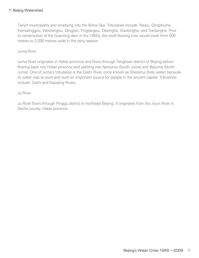Tianjin municipality and emptying into the Bohai Sea. Tributaries include: Naqiu, Qingshuihe, Xiamalinggou, Weidiangou, Qingjian, Yingtaogou, Dalonghe, Xiaolonghe, and Tiantanghe. Prior to construction of the Guanting dam in the 1950s, the swift-flowing river would swell from 500 metres to 2,000 metres wide in the rainy season.

Juma River

Juma River originates in Hebei province and flows through Fanghsan district of Beijing before flowing back into Hebei province and splitting into Nanjuma (South Juma) and Beijuma (North Juma). One of Juma's tributaries is the Dashi River, once known as Shenshui (holy water) because its water was so pure and such an important source for people in the ancient capital. Tributaries include: Dashi and Xiaoqing Rivers.

#### Ju River

Ju River flows through Pinggu district in northeast Beijing. It originates from the Jiyun River in Sanhe county, Hebei province.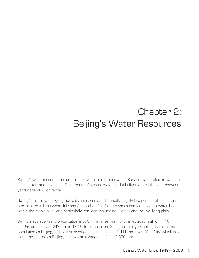# Chapter 2: Beijing's Water Resources

Beijing's water resources include surface water and groundwater. Surface water refers to water in rivers, lakes, and reservoirs. The amount of surface water available fluctuates within and between years depending on rainfall.

Beijing's rainfall varies geographically, seasonally and annually. Eighty-five percent of the annual precipitation falls between July and September. Rainfall also varies between the sub-watersheds within the municipality and particularly between mountainous areas and the low-lying plain.

Beijing's average yearly precipitation is 590 millimetres (mm) with a recorded high of 1,406 mm in 1959 and a low of 242 mm in 1869. In comparison, Shanghai, a city with roughly the same population as Beijing, receives an average annual rainfall of 1,411 mm. New York City, which is at the same latitude as Beijing, receives an average rainfall of 1,090 mm.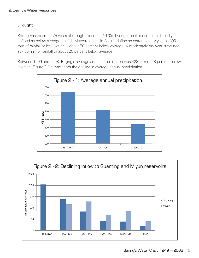#### Drought

Beijing has recorded 25 years of drought since the 1970s. Drought, in this context, is broadly defined as below-average rainfall. Meteorologists in Beijing define an extremely dry year as 300 mm of rainfall or less, which is about 50 percent below average. A moderately dry year is defined as 450 mm of rainfall or about 25 percent below average.

Between 1999 and 2008, Beijing's average annual precipitation was 428 mm or 28 percent below average. Figure 2-1 summarizes the decline in average annual precipitation.



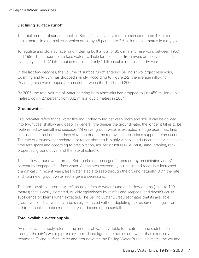#### Declining surface runoff

The total amount of surface runoff in Beijing's five river systems is estimated to be 4.7 billion cubic metres in a normal year, which drops by 45 percent to 2.6 billion cubic metres in a dry year.

To regulate and store surface runoff, Beijing built a total of 85 dams and reservoirs between 1950 and 1995. The amount of surface water available for use (either from rivers or reservoirs) in an average year is 1.67 billion cubic metres and only 1 billion cubic metres in a dry year.

In the last few decades, the volume of surface runoff entering Beijing's two largest reservoirs, Guanting and Miyun, has dropped sharply. According to Figure 2-2, the average inflow to Guanting reservoir dropped 90 percent between the 1950s and 2000.

By 2005, the total volume of water entering both reservoirs had dropped to just 459 million cubic metres, down 27 percent from 632 million cubic metres in 2004.

#### **Groundwater**

Groundwater refers to the water flowing underground between rocks and soil. It can be divided into two types: shallow and deep. In general, the deeper the groundwater, the longer it takes to be replenished by rainfall and seepage. Wherever groundwater is extracted in huge quantities, land subsidence – the loss of surface elevation due to the removal of subsurface support – can occur. The rate of groundwater recharge (or replenishment) is highly variable and uncertain; it varies over time and space and according to precipitation, aquifer structures (i.e. karst, sand, granite), rock properties, ground cover and the rate of extraction.

The shallow groundwater on the Beijing plain is recharged 44 percent by precipitation and 31 percent by seepage of surface water. As the area covered by buildings and roads has increased dramatically in recent years, less water is able to seep through the ground naturally. Both the rate and volume of groundwater recharge are decreasing.

The term "available groundwater" usually refers to water found at shallow depths (i.e. 1 to 100 metres) that is easily extracted, quickly replenished by rainfall and seepage, and doesn't cause subsidence problems when extracted. The Beijing Water Bureau estimates that its available groundwater – that which can be safely extracted without depleting the resource – ranges from 2.0 to 2.45 billion cubic metres per year, depending on rainfall.

#### Total available water supply

Available water supply refers to the amount of water available for treatment and distribution through the city's water pipeline system. These figures do not include water that is reused after treatment. Taking surface water and groundwater, the Beijing Water Bureau estimates the volume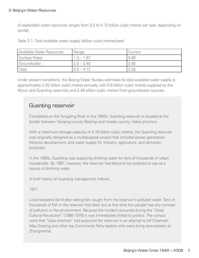#### 2: Beijing's Water Resources

of exploitable water resources ranges from 3.0 to 4.12 billion cubic metres per year, depending on rainfall.

Table 2-1: Total available water supply (billion cubic metres/year)

| Available Water Resources | Range        | Current |
|---------------------------|--------------|---------|
| Surface Water             | $1.0 - 1.67$ | 0.80    |
| Groundwater               | $2.0 - 2.45$ | 2.45    |
| Total                     | $3.0 - 4.12$ | 3.25    |

Under present conditions, the Beijing Water Bureau estimates its total available water supply is approximately 3.25 billion cubic metres annually with 0.8 billion cubic metres supplied by the Miyun and Guanting reservoirs and 2.45 billion cubic metres from groundwater sources.

### Guanting reservoir

Completed on the Yongding River in the 1950s, Guanting reservoir is situated at the border between Yanqing county (Beijing) and Huailai county, Hebei province.

With a maximum storage capacity of 4.16 billion cubic metres, the Guanting reservoir was originally designed as a multipurpose project that included power generation, fisheries development, and water supply for industry, agriculture, and domestic purposes.

In the 1980s, Guanting was supplying drinking water for tens of thousands of urban households. By 1997, however, the reservoir had become too polluted to use as a source of drinking water.

A brief history of Guanting management follows:

#### 1971

Local residents fell ill after eating fish caught from the reservoir's polluted water. Tens of thousands of fish in the reservoir had died, but at that time few people had any concept of pollution or the environment. Because the incident occurred during the "Great Cultural Revolution" (1966-1976) it was immediately linked to politics. The rumour went that "class enemies" had poisoned the reservoir in an attempt to kill Chairman Mao Zedong and other top Communist Party leaders who were living downstream at Zhongnanhai.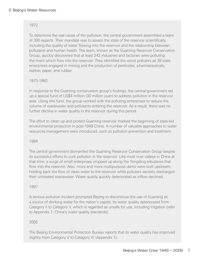#### 1972

To determine the real cause of the pollution, the central government assembled a team of 300 experts. Their mandate was to assess the state of the reservoir scientifically, including the quality of water flowing into the reservoir and the relationship between pollutants and human health. The team, known as the Guanting Reservoir Conservation Group, quickly discovered that at least 242 industries and factories were polluting the rivers which flow into the reservoir. They identified the worst polluters as 39 state enterprises engaged in mining and the production of pesticides, pharmaceuticals, leather, paper, and rubber.

#### 1973-1983

In response to the Guanting conservation group's findings, the central government set up a special fund of US\$4 million (30 million yuan) to address pollution in the reservoir area. Using this fund, the group worked with the polluting enterprises to reduce the volume of wastewater and pollutants entering the reservoir. As a result, there was no further decline in water quality in the reservoir during this period.

The effort to clean up and protect Guanting reservoir marked the beginning of state-led environmental protection in post-1949 China. A number of valuable approaches to water resources management were introduced, such as pollution prevention and treatment.

#### 1984

The central government dismantled the Guanting Reservoir Conservation Group despite its successful efforts to curb pollution in the reservoir. Like most river valleys in China at that time, a surge of small enterprises cropped up along the Yongding tributaries that flow into the reservoir. Also, more and more multipurpose dams were built upstream, holding back the flow of clean water to the reservoir while polluters secretly discharged their untreated wastewater. Water quality quickly deteriorated as inflow declined.

#### 1997

A serious pollution incident prompted Beijing to discontinue the use of Guanting as a source of drinking water for the nation's capital. Its water quality deteriorated from Category II to Category V, which is regarded as unsafe for use, including irrigation (refer to Appendix 1: China's water quality standards).

#### 2005

.

The Beijing Environmental Protection Bureau reports that its water quality has improved slightly from Category V to Category IV (Appendix 1).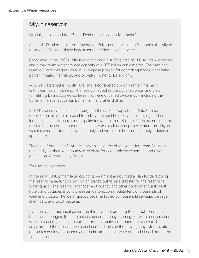### Miyun reservoir

Officially nicknamed the "Bright Pearl of the Yanshan Mountain."

Situated 100 kilometres from downtown Beijing on the Yanshan Mountain, the Miyun reservoir is Beijing's single largest source of domestic tap water.

Completed in the 1960s, Miyun originally had a surface area of 188 square kilometres and a maximum water storage capacity of 4.375 billion cubic metres. The dam and reservoir were designed as a multi-purpose project, for controlling floods, generating power, irrigating farmland, and providing water to Beijing city.

Miyun's watershed is mostly rural and is considered the only remaining basin with clean water in Beijing. The reservoir supplies the city's tap water and water for refilling Beijing's dried-up lakes that were once fed by springs – including the Summer Palace, Yuyuanta, Beihai Park, and Shenshahai.

In 1981, faced with a serious drought in the nation's capital, the State Council decided that all water released from Miyun would be reserved for Beijing, and no longer allocated to Tianjin municipality (downstream of Beijing). At the same time, the municipal government announced its new water allocation policy: water from Miyun was reserved for domestic water supply and would not be used to supply industry or agriculture.

The goal of protecting Miyun reservoir as a source of tap water for urban Beijing has repeatedly clashed with county-level plans for economic development and revenue generation. A chronology follows:

#### Tourism development

In the early 1980s, the Miyun county government announced a plan for developing the reservoir area for tourism, which turned out to be a disaster for the reservoir's water quality. The reservoir management agency and other government units built hotels and cottages around the reservoir to accommodate tens of thousands of weekend visitors. The water quickly became fouled by household sewage, garbage, chemicals, and E-coli bacteria.

Eventually, the municipal government intervened, ordering the demolition of the hotels and cottages. It then created a special agency in charge of water conservation which issued regulations to curb commercial activities around the reservoir. Certain areas around the reservoir were declared off-limits by the new agency. Motorboats on the reservoir were banned and roads into the area were ordered closed during the flood season.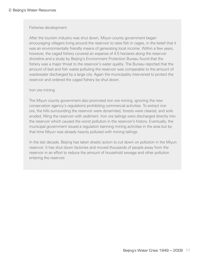#### Fisheries development

After the tourism industry was shut down, Miyun county government began encouraging villagers living around the reservoir to raise fish in cages, in the belief that it was an environmentally friendly means of generating local income. Within a few years, however, the caged fishery covered an expanse of 4.5 hectares along the reservoir shoreline and a study by Beijing's Environment Protection Bureau found that the fishery was a major threat to the reservoir's water quality. The Bureau reported that the amount of bait and fish waste polluting the reservoir was comparable to the amount of wastewater discharged by a large city. Again the municipality intervened to protect the reservoir and ordered the caged fishery be shut down.

#### Iron ore mining

The Miyun county government also promoted iron ore mining, ignoring the new conservation agency's regulations prohibiting commercial activities. To extract iron ore, the hills surrounding the reservoir were dynamited, forests were cleared, and soils eroded, filling the reservoir with sediment. Iron ore tailings were discharged directly into the reservoir which caused the worst pollution in the reservoir's history. Eventually, the municipal government issued a regulation banning mining activities in the area but by that time Miyun was already heavily polluted with mining tailings.

In the last decade, Beijing has taken drastic action to cut down on pollution in the Miyun reservoir. It has shut down factories and moved thousands of people away from the reservoir in an effort to reduce the amount of household sewage and other pollution entering the reservoir.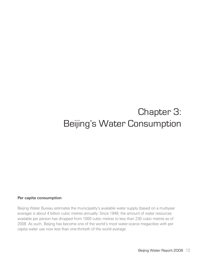# Chapter 3: Beijing's Water Consumption

#### Per capita consumption

Beijing Water Bureau estimates the municipality's available water supply (based on a multiyear average) is about 4 billion cubic metres annually. Since 1949, the amount of water resources available per person has dropped from 1000 cubic metres to less than 230 cubic metres as of 2008. As such, Beijing has become one of the world's most water-scarce megacities with per capita water use now less than one-thirtieth of the world average.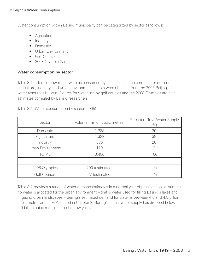Water consumption within Beijing municipality can be categorized by sector as follows:

- Agriculture
- Industry
- Domestic
- Urban Environment
- • Golf Courses
- 2008 Olympic Games

#### Water consumption by sector

Table 3-1 indicates how much water is consumed by each sector. The amounts for domestic, agriculture, industry, and urban environment sectors were obtained from the 2005 Beijing water resources bulletin. Figures for water use by golf courses and the 2008 Olympics are best estimates compiled by Beijing researchers.

| Sector              | Volume (million cubic metres) | Percent of Total Water Supply<br>$(\%)$ |
|---------------------|-------------------------------|-----------------------------------------|
| Domestic            | 1,338                         | 39                                      |
| Agriculture         | 1,322                         | 38                                      |
| Industry            | 680                           | 20                                      |
| Urban Environment   | 110                           | 3                                       |
| <b>TOTAL</b>        | 3,450                         | 100                                     |
|                     |                               |                                         |
| 2008 Olympics       | 200 (estimated)               | n/a                                     |
| <b>Golf Courses</b> | 27 (estimated)                | n/a                                     |

Table 3-1: Water consumption by sector (2005)

Table 3-2 provides a range of water demand estimates in a normal year of precipitation. Assuming no water is allocated for the urban environment – that is water used for filling Beijing's lakes and irrigating urban landscapes – Beijing's estimated demand for water is between 4.0 and 4.5 billion cubic metres annually. As noted in Chapter 2, Beijing's actual water supply has dropped below 4.0 billion cubic metres in the last few years.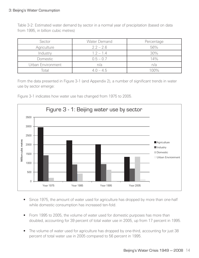#### 3: Beijing's Water Consumption

Table 3-2: Estimated water demand by sector in a normal year of precipitation (based on data from 1995, in billion cubic metres)

| Sector            | Water Demand | Percentage |
|-------------------|--------------|------------|
| Agriculture       | $2.2 - 2.6$  | 56%        |
| Industry          | $1.2 - 1.4$  | 30%        |
| Domestic          | $0.5 - 0.7$  | 14%        |
| Urban Environment | n/a          | n/a        |
| Total             | $4.0 - 4.5$  | $00\%$     |

From the data presented in Figure 3-1 (and Appendix 2), a number of significant trends in water use by sector emerge:

Figure 3-1 indicates how water use has changed from 1975 to 2005.



- Since 1975, the amount of water used for agriculture has dropped by more than one-half while domestic consumption has increased ten-fold.
- From 1995 to 2005, the volume of water used for domestic purposes has more than doubled, accounting for 39 percent of total water use in 2005, up from 17 percent in 1995.
- The volume of water used for agriculture has dropped by one-third, accounting for just 38 percent of total water use in 2005 compared to 56 percent in 1995.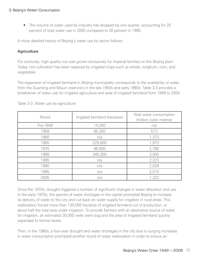• The volume of water used by industry has dropped by one quarter, accounting for 20 percent of total water use in 2005 compared to 26 percent in 1995.

A more detailed history of Beijing's water use by sector follows.

#### **Agriculture**

For centuries, high quality rice was grown exclusively for imperial families on the Beijing plain. Today, rice cultivation has been replaced by irrigated crops such as wheat, sorghum, corn, and vegetables.

The expansion of irrigated farmland in Beijing municipality corresponds to the availability of water from the Guanting and Miyun reservoirs in the late 1950s and early 1960s. Table 3-3 provides a breakdown of water use for irrigated agriculture and area of irrigated farmland from 1949 to 2005.

| Period   | Irrigated farmland (hectares) | Total water consumption<br>(million cubic metres) |
|----------|-------------------------------|---------------------------------------------------|
| Pre-1949 | 14,200                        | n/a                                               |
| 1958     | 95,300                        | 573                                               |
| 1960     | n/a                           | 1,373                                             |
| 1965     | 229,800                       | 1,973                                             |
| 1970     | 96,800                        | 2,780                                             |
| 1980     | 340,300                       | 3,050                                             |
| 1985     | n/a                           | 2,223                                             |
| 1990     | n/a                           | 2,028                                             |
| 1995     | n/a                           | 2,010                                             |
| 2005     | n/a                           | 1,322                                             |

Table 3-3: Water use by agriculture

Since the 1970s, drought triggered a number of significant changes in water allocation and use. In the early 1970s, the spectre of water shortages in the capital prompted Beijing to increase its delivery of water to the city and cut back on water supply for irrigation in rural areas. This reallocation forced more than 130,000 hectares of irrigated farmland out of production, or about half the total area under irrigation. To provide farmers with an alternative source of water for irrigation, an estimated 30,000 wells were dug and the area of irrigated farmland quickly expanded to former levels.

Then, in the 1980s, a four-year drought and water shortages in the city due to surging increases in water consumption prompted another round of water reallocation in order to ensure an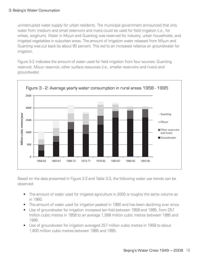uninterrupted water supply for urban residents. The municipal government announced that only water from medium and small reservoirs and rivers could be used for field irrigation (i.e., for wheat, sorghum). Water in Miyun and Guanting was reserved for industry, urban households, and irrigated vegetables in suburban areas. The amount of irrigation water released from Miyun and Guanting was cut back by about 90 percent. This led to an increased reliance on groundwater for irrigation.

Figure 3-2 indicates the amount of water used for field irrigation from four sources: Guanting reservoir, Miyun reservoir, other surface resources (i.e., smaller reservoirs and rivers) and groundwater.



Based on the data presented in Figure 3-2 and Table 3-3, the following water use trends can be observed:

- The amount of water used for irrigated agriculture in 2005 is roughly the same volume as in 1960.
- The amount of water used for irrigation peaked in 1980 and has been declining ever since.
- Use of groundwater for irrigation increased ten-fold between 1958 and 1995, from 257 million cubic metres in 1958 to an average 1,568 million cubic metres between 1985 and 1995.
- Use of groundwater for irrigation averaged 257 million cubic metres in 1958 to about 1,600 million cubic metres between 1985 and 1995.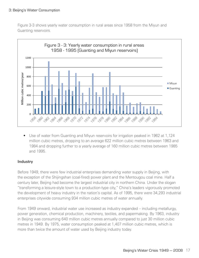Figure 3-3 shows yearly water consumption in rural areas since 1958 from the Miyun and Guanting reservoirs.



• Use of water from Guanting and Miyun reservoirs for irrigation peaked in 1962 at 1,124 million cubic metres, dropping to an average 622 million cubic metres between 1963 and 1984 and dropping further to a yearly average of 160 million cubic metres between 1985 and 1995.

#### Industry

Before 1949, there were few industrial enterprises demanding water supply in Beijing, with the exception of the Shijingshan (coal-fired) power plant and the Mentougou coal mine. Half a century later, Beijing had become the largest industrial city in northern China. Under the slogan "transforming a leisure-style town to a production-type city," China's leaders vigorously promoted the development of heavy industry in the nation's capital. As of 1995, there were 34,293 industrial enterprises citywide consuming 934 million cubic metres of water annually.

From 1949 onward, industrial water use increased as industry expanded – including metallurgy, power generation, chemical production, machinery, textiles, and papermaking. By 1963, industry in Beijing was consuming 640 million cubic metres annually compared to just 30 million cubic metres in 1949. By 1975, water consumption peaked at 1,407 million cubic metres, which is more than twice the amount of water used by Beijing industry today.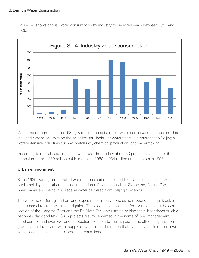#### 3: Beijing's Water Consumption

Figure 3-4 shows annual water consumption by industry for selected years between 1949 and 2005.



When the drought hit in the 1980s, Beijing launched a major water conservation campaign. This included expansion limits on the so-called shui laohu (or water tigers) – a reference to Beijing's water-intensive industries such as metallurgy, chemical production, and papermaking.

According to official data, industrial water use dropped by about 30 percent as a result of the campaign, from 1,350 million cubic metres in 1980 to 934 million cubic metres in 1995.

#### Urban environment

Since 1980, Beijing has supplied water to the capital's depleted lakes and canals, timed with public holidays and other national celebrations. City parks such as Zizhuyuan, Beijing Zoo, Shenshahai, and Beihai also receive water delivered from Beijing's reservoirs.

The watering of Beijing's urban landscapes is commonly done using rubber dams that block a river channel to store water for irrigation. These dams can be seen, for example, along the east section of the Liangma River and the Ba River. The water stored behind the rubber dams quickly becomes black and fetid. Such projects are implemented in the name of river management, flood control, and even wetlands protection, yet no attention is paid to the effect they have on groundwater levels and water supply downstream. The notion that rivers have a life of their own with specific ecological functions is not considered.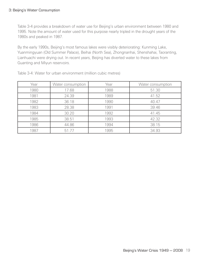Table 3-4 provides a breakdown of water use for Beijing's urban environment between 1980 and 1995. Note the amount of water used for this purpose nearly tripled in the drought years of the 1980s and peaked in 1987.

By the early 1990s, Beijing's most famous lakes were visibly deteriorating: Kunming Lake, Yuanmingyuan (Old Summer Palace), Beihai (North Sea), Zhongnanhai, Shenshahai, Taoranting, Lianhuachi were drying out. In recent years, Beijing has diverted water to these lakes from Guanting and Miyun reservoirs.

| Year | Water consumption | Year | Water consumption |
|------|-------------------|------|-------------------|
| 1980 | 17.68             | 1988 | 51.30             |
| 1981 | 24.39             | 1989 | 41.52             |
| 1982 | 36.18             | 1990 | 40.47             |
| 1983 | 28.38             | 1991 | 39.46             |
| 1984 | 30.20             | 1992 | 41.45             |
| 1985 | 38.51             | 1993 | 42.32             |
| 1986 | 44.86             | 1994 | 38.15             |
| 1987 | 51.77             | 1995 | 34.93             |

Table 3-4: Water for urban environment (million cubic metres)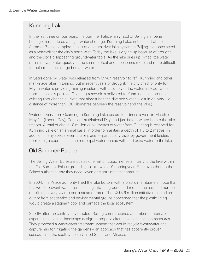### Kunming Lake

In the last three or four years, the Summer Palace, a symbol of Beijing's imperial heritage, has suffered a major water shortage. Kunming Lake, in the heart of the Summer Palace complex, is part of a natural river-lake system in Beijing that once acted as a reservoir for the city's northwest. Today the lake is drying up because of drought and the city's disappearing groundwater table. As the lake dries up, what little water remains evaporates quickly in the summer heat and it becomes more and more difficult to replenish such a large body of water.

In years gone by, water was released from Miyun reservoir to refill Kunming and other man-made lakes in Beijing. But in recent years of drought, the city's first priority for Miyun water is providing Beijing residents with a supply of tap water. Instead, water from the heavily polluted Guanting reservoir is delivered to Kunming Lake through existing river channels. (Note that almost half the diverted water is lost in delivery – a distance of more than 130 kilometres between the reservoir and the lake.)

Water delivery from Guanting to Kunming Lake occurs four times a year: in March, on May 1st (Labour Day), October 1st (National Day) and just before winter before the lake freezes. A total of about 10 million cubic metres of water from Guanting is reserved for Kunming Lake on an annual basis, in order to maintain a depth of 1.5 to 2 metres. In addition, if any special events take place — particularly visits by government leaders from foreign countries — the municipal water bureau will send extra water to the lake.

### Old Summer Palace

The Beijing Water Bureau allocates one million cubic metres annually to the lake within the Old Summer Palace grounds (also known as Yuanmingyuan Park) even though the Palace authorities say they need seven or eight times that amount.

In 2004, the Palace authority lined the lake bottom with a plastic membrane in hope that this would prevent water from seeping into the ground and reduce the required number of refillings every year to one instead of three. The US\$3.6 million initiative sparked an outcry from academics and environmental groups concerned that the plastic lining would create a stagnant pool and damage the local ecosystem.

Shortly after the controversy erupted, Beijing commissioned a number of international experts in ecological landscape design to propose alternative conservation measures. They proposed a wastewater treatment system that would recycle wastewater and capture rain for irrigating the gardens – an approach that has apparently proven successful in the southwestern United States and Mexico.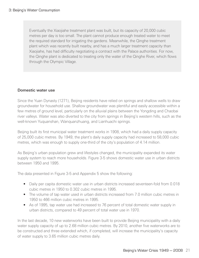Eventually the Xiaojiahe treatment plant was built, but its capacity of 20,000 cubic metres per day is too small. The plant cannot produce enough treated water to meet the required standard for irrigating the gardens. Meanwhile, the Qinghe treatment plant which was recently built nearby, and has a much larger treatment capacity than Xiaojiahe, has had difficulty negotiating a contract with the Palace authorities. For now, the Qinghe plant is dedicated to treating only the water of the Qinghe River, which flows through the Olympic Village.

#### Domestic water use

Since the Yuan Dynasty (1271), Beijing residents have relied on springs and shallow wells to draw groundwater for household use. Shallow groundwater was plentiful and easily accessible within a few metres of ground level, particularly on the alluvial plains between the Yongding and Chaobai river valleys. Water was also diverted to the city from springs in Beijing's western hills, such as the well-known Yuquanshan, Wanquanzhuang, and Lianhuachi springs.

Beijing built its first municipal water treatment works in 1908, which had a daily supply capacity of 25,000 cubic metres. By 1949, the plant's daily supply capacity had increased to 58,000 cubic metres, which was enough to supply one-third of the city's population of 4.14 million.

As Beijing's urban population grew and lifestyles changed, the municipality expanded its water supply system to reach more households. Figure 3-5 shows domestic water use in urban districts between 1950 and 1995.

The data presented in Figure 3-5 and Appendix 5 show the following:

- Daily per capita domestic water use in urban districts increased seventeen-fold from 0.018 cubic metres in 1950 to 0.302 cubic metres in 1995.
- The volume of tap water used in urban districts increased from 7.0 million cubic metres in 1950 to 466 million cubic metres in 1995.
- As of 1995, tap water use had increased to 76 percent of total domestic water supply in urban districts, compared to 49 percent of total water use in 1970.

In the last decade, 10 new waterworks have been built to provide Beijing municipality with a daily water supply capacity of up to 2.68 million cubic metres. By 2010, another five waterworks are to be constructed and three extended which, if completed, will increase the municipality's capacity of water supply to 3.65 million cubic metres daily.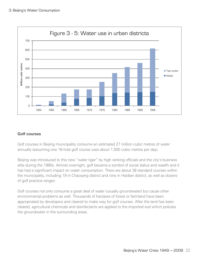

#### Golf courses

Golf courses in Beijing municipality consume an estimated 27 million cubic metres of water annually (assuming one 18-hole golf course uses about 1,000 cubic metres per day).

Beijing was introduced to this new "water tiger" by high ranking officials and the city's business elite during the 1980s. Almost overnight, golf became a symbol of social status and wealth and it has had a significant impact on water consumption. There are about 38 standard courses within the municipality, including 19 in Chaoyang district and nine in Haidian district, as well as dozens of golf practice ranges.

Golf courses not only consume a great deal of water (usually groundwater) but cause other environmental problems as well. Thousands of hectares of forest or farmland have been appropriated by developers and cleared to make way for golf courses. After the land has been cleared, agricultural chemicals and disinfectants are applied to the imported sod which pollutes the groundwater in the surrounding areas.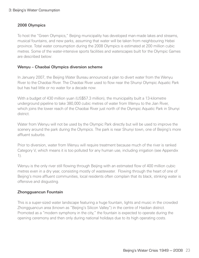#### 2008 Olympics

To host the "Green Olympics," Beijing municipality has developed man-made lakes and streams, musical fountains, and new parks, assuming that water will be taken from neighbouring Hebei province. Total water consumption during the 2008 Olympics is estimated at 200 million cubic metres. Some of the water-intensive sports facilities and waterscapes built for the Olympic Games are described below:

#### Wenyu – Chaobai Olympics diversion scheme

In January 2007, the Beijing Water Bureau announced a plan to divert water from the Wenyu River to the Chaobai River. The Chaobai River used to flow near the Shunyi Olympic Aquatic Park but has had little or no water for a decade now.

With a budget of 430 million yuan (US\$57.3 million), the municipality built a 13-kilometre underground pipeline to take 380,000 cubic metres of water from Wenyu to the Jian River, which joins the lower reach of the Chaobai River just north of the Olympic Aquatic Park in Shunyi district.

Water from Wenyu will not be used by the Olympic Park directly but will be used to improve the scenery around the park during the Olympics. The park is near Shunyi town, one of Beijing's more affluent suburbs.

Prior to diversion, water from Wenyu will require treatment because much of the river is ranked Category V, which means it is too polluted for any human use, including irrigation (see Appendix 1).

Wenyu is the only river still flowing through Beijing with an estimated flow of 400 million cubic metres even in a dry year, consisting mostly of wastewater. Flowing through the heart of one of Beijing's more affluent communities, local residents often complain that its black, stinking water is offensive and disgusting.

#### Zhongguancun Fountain

This is a super-sized water landscape featuring a huge fountain, lights and music in the crowded Zhongguancun area (known as "Beijing's Silicon Valley") in the centre of Haidian district. Promoted as a "modern symphony in the city," the fountain is expected to operate during the opening ceremony and then only during national holidays due to its high operating costs.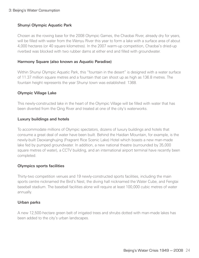#### 3: Beijing's Water Consumption

#### Shunyi Olympic Aquatic Park

Chosen as the rowing base for the 2008 Olympic Games, the Chaobai River, already dry for years, will be filled with water from the Wenyu River this year to form a lake with a surface area of about 4,000 hectares (or 40 square kilometres). In the 2007 warm-up competition, Chaobai's dried-up riverbed was blocked with two rubber dams at either end and filled with groundwater.

#### Harmony Square (also known as Aquatic Paradise)

Within Shunyi Olympic Aquatic Park, this "fountain in the desert" is designed with a water surface of 11.37 million square metres and a fountain that can shoot up as high as 136.8 metres. The fountain height represents the year Shunyi town was established: 1368.

#### Olympic Village Lake

This newly-constructed lake in the heart of the Olympic Village will be filled with water that has been diverted from the Qing River and treated at one of the city's waterworks.

#### Luxury buildings and hotels

To accommodate millions of Olympic spectators, dozens of luxury buildings and hotels that consume a great deal of water have been built. Behind the Haidian Mountain, for example, is the newly-built Daoxianghujing (Fragrant Rice Scenic Lake) Hotel which boasts a new man-made lake fed by pumped groundwater. In addition, a new national theatre (surrounded by 35,000 square metres of water), a CCTV building, and an international airport terminal have recently been completed.

#### Olympics sports facilities

Thirty-two competition venues and 19 newly-constructed sports facilities, including the main sports centre nicknamed the Bird's Nest, the diving hall nicknamed the Water Cube, and Fengtai baseball stadium. The baseball facilities alone will require at least 100,000 cubic metres of water annually.

#### Urban parks

A new 12,500-hectare green belt of irrigated trees and shrubs dotted with man-made lakes has been added to the city's urban landscapes.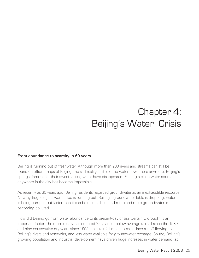# Chapter 4: Beijing's Water Crisis

#### From abundance to scarcity in 60 years

Beijing is running out of freshwater. Although more than 200 rivers and streams can still be found on official maps of Beijing, the sad reality is little or no water flows there anymore. Beijing's springs, famous for their sweet-tasting water have disappeared. Finding a clean water source anywhere in the city has become impossible.

As recently as 30 years ago, Beijing residents regarded groundwater as an inexhaustible resource. Now hydrogeologists warn it too is running out. Beijing's groundwater table is dropping, water is being pumped out faster than it can be replenished, and more and more groundwater is becoming polluted.

How did Beijing go from water abundance to its present-day crisis? Certainly, drought is an important factor. The municipality has endured 25 years of below-average rainfall since the 1980s and nine consecutive dry years since 1999. Less rainfall means less surface runoff flowing to Beijing's rivers and reservoirs, and less water available for groundwater recharge. So too, Beijing's growing population and industrial development have driven huge increases in water demand, as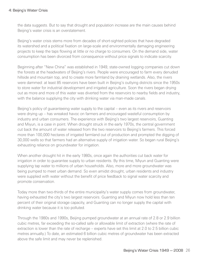the data suggests. But to say that drought and population increase are the main causes behind Beijing's water crisis is an overstatement.

Beijing's water crisis stems more from decades of short-sighted policies that have degraded its watershed and a political fixation on large-scale and environmentally damaging engineering projects to keep the taps flowing at little or no charge to consumers. On the demand side, water consumption has been divorced from consequence without price signals to indicate scarcity.

Beginning after "New China" was established in 1949, state-owned logging companies cut down the forests at the headwaters of Beijing's rivers. People were encouraged to farm every denuded hillside and mountain top, and to create more farmland by draining wetlands. Also, the rivers were dammed: at least 85 reservoirs have been built in Beijing's outlying districts since the 1950s to store water for industrial development and irrigated agriculture. Soon the rivers began drying out as more and more of this water was diverted from the reservoirs to nearby fields and industry, with the balance supplying the city with drinking water via man-made canals.

Beijing's policy of guaranteeing water supply to the capital – even as its rivers and reservoirs were drying up – has wreaked havoc on farmers and encouraged wasteful consumption by industry and urban consumers. The experience with Beijing's two largest reservoirs, Guanting and Miyun, is a case in point. When drought struck in the early 1970s, the central government cut back the amount of water released from the two reservoirs to Beijing's farmers. This forced more than 100,000 hectares of irrigated farmland out of production and prompted the digging of 30,000 wells so that farmers had an alternative supply of irrigation water. So began rural Beijing's exhausting reliance on groundwater for irrigation.

When another drought hit in the early 1980s, once again the authorities cut back water for irrigation in order to guarantee supply to urban residents. By this time, Miyun and Guanting were supplying tap water to millions of urban households. Also, more and more groundwater was being pumped to meet urban demand. So even amidst drought, urban residents and industry were supplied with water without the benefit of price feedback to signal water scarcity and promote conservation.

Today more than two-thirds of the entire municipality's water supply comes from groundwater, having exhausted the city's two largest reservoirs. Guanting and Miyun now hold less than ten percent of their original storage capacity, and Guanting can no longer supply the capital with drinking water because it is too polluted.

Through the 1980s and 1990s, Beijing pumped groundwater at an annual rate of 2.8 or 2.9 billion cubic metres, far exceeding the so-called safe or allowable limit of extraction (where the rate of extraction is lower than the rate of recharge – experts have set this limit at 2.0 to 2.5 billion cubic metres annually.) To date, an estimated 6 billion cubic metres of groundwater has been extracted above the safe limit and may never be replenished.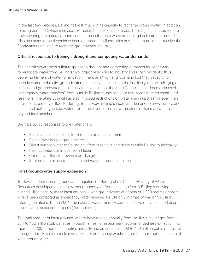In the last few decades, Beijing has lost much of its capacity to recharge groundwater. In addition to rising demand (which increases extraction,) the expanse of roads, buildings, and infrastructure now covering the natural ground surface mean that less water is seeping back into the ground. Also, because all the rivers have been dammed, the floodplains downstream no longer receive the floodwaters that used to recharge groundwater naturally.

#### Official responses to Beijing's drought and competing water demands

The central government's first response to drought and competing demands for water was to reallocate water from Beijing's two largest reservoirs to industry and urban residents, thus depriving farmers of water for irrigation. Then, as Miyun and Guanting lost their capacity to provide water to the city, groundwater use rapidly increased. In the last five years, with Beijing's surface and groundwater supplies nearing exhaustion, the State Council has ordered a series of "emergency water transfers" from outside Beijing municipality via newly-constructed canals and reservoirs. The State Council has also imposed restrictions on water use in upstream Hebei in an effort to increase river flow to Beijing. In this way, Beijing's incessant demand for new supply, and its political authority to take water from other river basins, now threatens millions of water users beyond its watershed.

Beijing's policy responses to the water crisis:

- Reallocate surface water from rural to urban consumers
- Extract ever-deeper groundwater
- Divert surface water to Beijing city from reservoirs and rivers outside Beijing municipality
- Restrict water use in upstream Hebei
- Cut off river flow to downstream Tianjin
- Shut down or relocate polluting and water-intensive industries

#### Karst groundwater supply expansion

To slow the depletion of groundwater aquifers on Beijing plain, China's Ministry of Water Resources developed a plan to extract groundwater from karst aquifers in Beijing's outlying districts. Traditionally, these karst aquifers – with groundwater at depths of 1,000 metres or more – have been protected as emergency water reserves for use only in times of war or for use by future generations. But in 2004, the national water ministry completed two of five planned deep groundwater extraction projects (See Table 4-1).

The total amount of karst groundwater to be extracted annually from the five sites ranges from 274 to 452 million cubic metres. Notably, an earlier assessment recommended less extraction; no more than 200 million cubic metres annually and an additional 200 to 400 million cubic metres for emergencies. But it is not clear what kind of emergency would trigger the maximum extraction of karst groundwater.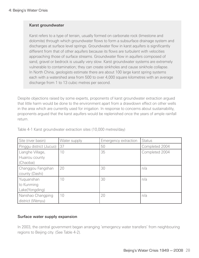#### Karst groundwater

Karst refers to a type of terrain, usually formed on carbonate rock (limestone and dolomite) through which groundwater flows to form a subsurface drainage system and discharges at surface level springs. Groundwater flow in karst aquifers is significantly different from that of other aquifers because its flows are turbulent with velocities approaching those of surface streams. Groundwater flow in aquifers composed of sand, gravel or bedrock is usually very slow. Karst groundwater systems are extremely vulnerable to contamination; they can create sinkholes and cause sinkhole collapse. In North China, geologists estimate there are about 100 large karst spring systems each with a watershed area from 500 to over 4,000 square kilometres with an average discharge from 1 to 13 cubic metres per second.

Despite objections raised by some experts, proponents of karst groundwater extraction argued that little harm would be done to the environment apart from a drawdown effect on other wells in the area which are currently used for irrigation. In response to concerns about sustainability, proponents argued that the karst aquifers would be replenished once the years of ample rainfall return.

| Site (river basin)                         | Water supply | Emergency extraction | <b>Status</b>  |
|--------------------------------------------|--------------|----------------------|----------------|
| Pinggu district (Jucuo)                    | 37           | 50                   | Completed 2004 |
| Lianghe Village,                           | 10           | 35                   | Completed 2004 |
| Huairou county<br>(Chaobai)                |              |                      |                |
| Changgou Fangshan<br>county (Dashi)        | 20           | 30                   | n/a            |
| Yuquanshan<br>to Kunming<br>Lake(Yongding) | 10           | 30                   | n/a            |
| Nanshao Changping<br>district (Wenyu)      | 10           | 20                   | n/a            |

Table 4-1 Karst groundwater extraction sites (10,000 metres/day)

#### Surface water supply expansion

In 2003, the central government began arranging 'emergency water transfers' from neighbouring regions to Beijing city. (See Table 4-2).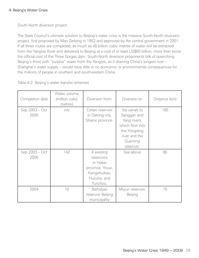South-North diversion project

The State Council's ultimate solution to Beijing's water crisis is the massive South-North diversion project, first proposed by Mao Zedong in 1952 and approved by the central government in 2001. If all three routes are completed, as much as 48 billion cubic metres of water will be extracted from the Yangtze River and delivered to Beijing at a cost of at least US\$60 billion, more than twice the official cost of the Three Gorges dam. South-North diversion proponents talk of quenching Beijing's thirst with "surplus" water from the Yangtze, as if draining China's longest river -Shanghai's water supply – would have little or no economic or environmental consequences for the millions of people in southern and southwestern China.

Table 4-2: Beijing's water transfer schemes

| Completion date        | Water volume<br>(million cubic<br>metres) | Diversion from:                                                                                       | Diversion to:                                                                                                              | Distance (km) |
|------------------------|-------------------------------------------|-------------------------------------------------------------------------------------------------------|----------------------------------------------------------------------------------------------------------------------------|---------------|
| Sep 2003 - Oct<br>2005 | n/a                                       | Cetian reservoir<br>in Datong city,<br>Shanxi province.                                               | Via canals to<br>Sanggan and<br>Yang rivers,<br>which flow into<br>the Yongding<br>river and the<br>Guanting<br>reservoir. | 185           |
| Sep 2003 - Oct<br>2005 | 142                                       | 4 existing<br>reservoirs<br>in Hebei<br>province: Youyi,<br>Xiangshuibao,<br>Huliuhe, and<br>Yunzhou. | See above                                                                                                                  | 80            |
| 2004                   | 10                                        | Baihebao<br>reservoir Beijing<br>municipality                                                         | Miyun reservoir,<br>Beijing                                                                                                | 75            |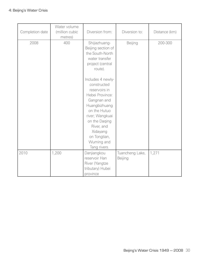| Completion date | Water volume<br>(million cubic<br>metres) | Diversion from:                                                                                                                                                                                                                  | Diversion to:              | Distance (km) |
|-----------------|-------------------------------------------|----------------------------------------------------------------------------------------------------------------------------------------------------------------------------------------------------------------------------------|----------------------------|---------------|
| 2008            | 400                                       | Shijiazhuang-<br>Beijing section of<br>the South-North<br>water transfer<br>project (central<br>route).                                                                                                                          | Beijing                    | 200-300       |
|                 |                                           | Includes 4 newly-<br>constructed<br>reservoirs in<br>Hebei Province:<br>Gangnan and<br>Huangbizhuang<br>on the Hutuo<br>river; Wangkuai<br>on the Daging<br>River, and<br>Xidayang<br>on Tongtian,<br>Wuming and<br>Tang rivers. |                            |               |
| 2010            | 1,200                                     | Danjiangkou<br>reservoir Han<br>River (Yangtze<br>tributary) Hubei<br>province                                                                                                                                                   | Tuancheng Lake,<br>Beijing | 1,271         |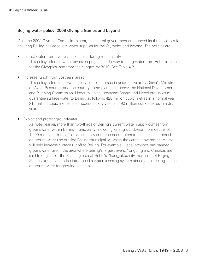#### Beijing water policy: 2008 Olympic Games and beyond

With the 2008 Olympic Games imminent, the central government announced its three policies for ensuring Beijing has adequate water supplies for the Olympics and beyond. The policies are:

- Extract water from river basins outside Beijing municipality This policy refers to water diversion projects underway to bring water from Hebei in time for the Olympics, and from the Yangtze by 2010. See Table 4-2.
- Increase runoff from upstream areas

This policy refers to a "water allocation plan" issued earlier this year by China's Ministry of Water Resources and the country's lead planning agency, the National Development and Planning Commission. Under this plan, upstream Shanxi and Hebei provinces must guarantee surface water to Beijing as follows: 420 million cubic metres in a normal year, 215 million cubic metres in a moderately dry year, and 90 million cubic metres in a dry year.

**Exploit and protect groundwater** 

As noted earlier, more than two-thirds of Beijing's current water supply comes from groundwater within Beijing municipality, including karst groundwater from depths of 1,000 metres or more. This latest policy announcement refers to restrictions imposed on groundwater use outside Beijing municipality, which the central government claims will help increase surface runoff to Beijing. For example, Hebei province has banned groundwater use in the area where Beijing's largest rivers, Yongding and Chaobai, are said to originate – the Bashang area of Hebei's Zhangjiakou city, northeast of Beijing. Zhangjiakou city has also introduced a water licensing system aimed at restricting the use of groundwater for growing vegetables.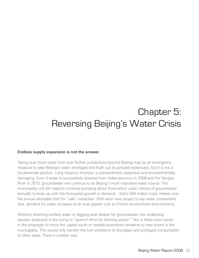# Chapter 5: Reversing Beijing's Water Crisis

#### Endless supply expansion is not the answer

Taking ever more water from ever further jurisdictions beyond Beijing may be an emergency measure to ease Beijing's water shortages and flush out its polluted waterways, but it is not a fundamental solution. Long distance diversion is extraordinarily expensive and environmentally damaging. Even if water is successfully diverted from Hebei province in 2008 and the Yangtze River in 2010, groundwater will continue to be Beijing's most important water source. The municipality will still need to continue pumping about three billion cubic metres of groundwater annually to keep up with the forecasted growth in demand – that's 500 million cubic metres over the annual allowable limit for "safe" extraction. With each new project to tap water somewhere else, demand for water increases at an ever greater cost to China's environment and economy.

Whether diverting surface water or digging ever-deeper for groundwater, the underlying solution proposed is like trying to "quench thirst by drinking poison." Nor is there more sense in the proposals to move the capital south or resettle downtown residents to new towns in the municipality. This would only transfer the twin problems of shortages and profligate consumption to other areas. There is a better way.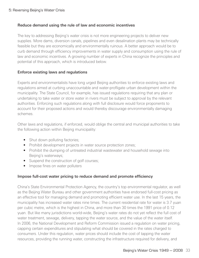#### Reduce demand using the rule of law and economic incentives

The key to addressing Beijing's water crisis is not more engineering projects to deliver new supplies. More dams, diversion canals, pipelines and even desalination plants may be technically feasible but they are economically and environmentally ruinous. A better approach would be to curb demand through efficiency improvements in water supply and consumption using the rule of law and economic incentives. A growing number of experts in China recognize the principles and potential of this approach, which is introduced below.

#### Enforce existing laws and regulations

Experts and environmentalists have long urged Beijing authorities to enforce existing laws and regulations aimed at curbing unaccountable and water-profligate urban development within the municipality. The State Council, for example, has issued regulations requiring that any plan or undertaking to take water or store water in rivers must be subject to approval by the relevant authorities. Enforcing such regulations along with full disclosure would force proponents to account for their proposed actions and would thereby discourage environmentally damaging schemes.

Other laws and regulations, if enforced, would oblige the central and municipal authorities to take the following action within Beijing municipality:

- Shut down polluting factories;
- Prohibit development projects in water source protection zones;
- Prohibit the dumping of untreated industrial wastewater and household sewage into Beijing's waterways;
- Suspend the construction of golf courses;
- Impose fines on water polluters

#### Impose full-cost water pricing to reduce demand and promote efficiency

China's State Environmental Protection Agency, the country's top environmental regulator, as well as the Beijing Water Bureau and other government authorities have endorsed full-cost pricing as an effective tool for managing demand and promoting efficient water use. In the last 15 years, the municipality has increased water rates nine times. The current residential rate for water is 3.7 yuan per cubic metre, which is the highest in China, and more than 30 times the 1991 price of 0.12 yuan. But like many jurisdictions world-wide, Beijing's water rates do not yet reflect the full cost of water treatment, sewage, delivery, tapping the water source, and the value of the water itself. In 2006, the National Development and Reform Commission issued a regulation on water pricing, capping certain expenditures and stipulating what should be covered in the rates charged to consumers. Under this regulation, water prices should include the cost of tapping the water resources, providing the running water, constructing the infrastructure required for delivery, and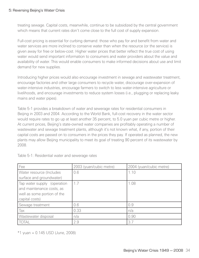treating sewage. Capital costs, meanwhile, continue to be subsidized by the central government which means that current rates don't come close to the full cost of supply expansion.

Full-cost pricing is essential for curbing demand: those who pay for and benefit from water and water services are more inclined to conserve water than when the resource (or the service) is given away for free or below-cost. Higher water prices that better reflect the true cost of using water would send important information to consumers and water providers about the value and availability of water. This would enable consumers to make informed decisions about use and limit demand for new supplies.

Introducing higher prices would also encourage investment in sewage and wastewater treatment, encourage factories and other large consumers to recycle water, discourage over-expansion of water-intensive industries, encourage farmers to switch to less water-intensive agriculture or livelihoods, and encourage investments to reduce system losses (i.e., plugging or replacing leaky mains and water pipes).

Table 5-1 provides a breakdown of water and sewerage rates for residential consumers in Beijing in 2003 and 2004. According to the World Bank, full-cost recovery in the water sector would require rates to go up at least another 35 percent, to 5.0 yuan per cubic metre or higher. At current prices, Beijing's state-owned water companies are profitably operating a number of wastewater and sewage treatment plants, although it's not known what, if any, portion of their capital costs are passed on to consumers in the prices they pay. If operated as planned, the new plants may allow Beijing municipality to meet its goal of treating 90 percent of its wastewater by 2008.

| Fee                                                                                                       | 2003 (yuan/cubic metre) | 2004 (yuan/cubic metre) |
|-----------------------------------------------------------------------------------------------------------|-------------------------|-------------------------|
| Water resource (Includes                                                                                  | 0.6                     | 1.10                    |
| surface and groundwater)                                                                                  |                         |                         |
| Tap water supply (operation<br>and maintenance costs, as<br>well as some portion of the<br>capital costs) | 1.7                     | 1.08                    |
| Sewage treatment                                                                                          | 0.6                     | 0.9                     |
| Tax                                                                                                       | 0.33                    | n/a                     |
| Wastewater disposal                                                                                       | n/a                     | 0.90                    |
| <b>TOTAL</b>                                                                                              | 2.9                     | 3.7                     |

Table 5-1: Residential water and sewerage rates

 $*1$  yuan = 0.145 USD (June, 2008)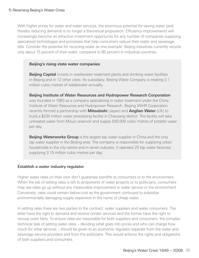With higher prices for water and water services, the enormous potential for saving water (and thereby reducing demand) is no longer a theoretical proposition. Efficiency improvements will increasingly become an attractive investment opportunity for any number of companies supplying specialized technologies and processes that help consumers reduce their water and sewerage bills. Consider the potential for recycling water as one example: Beijing industries currently recycle only about 15 percent of their water, compared to 85 percent in industrial countries.

#### Beijing's rising state water companies

**Beijing Capital** invests in wastewater treatment plants and drinking water facilities in Beijing and in 12 other cities. Its subsidiary, Beijing Water Company is treating 2.1 million cubic metres of wastewater annually.

Beijing Institute of Water Resources and Hydropower Research Corporation was founded in 1993 as a company specializing in water treatment under the China Institute of Water Resources and Hydropower Research. Beijing IWHR Corporation recently formed a partnership with **Mitsubishi** (Japan) and **Anglian Water** (UK) to build a \$200 million water processing facility in Chaoyang district. The facility will take untreated water from Miyun reservoir and supply 500,000 cubic metres of potable water per day.

**Beijing Waterworks Group** is the largest tap water supplier in China and the only tap water supplier in the Beijing area. The company is responsible for supplying urban households in the city centre and in seven suburbs. It operates 20 tap water factories supplying 3.15 million cubic metres per day.

#### Establish a water industry regulator

Higher water rates on their own don't guarantee benefits to consumers or to the environment. When the job of setting rates is left to proponents of water projects or to politicians, consumers may see rates go up without any measurable improvement in water service or the environment. Conversely, rates could remain below-cost as the government continued to subsidize environmentally damaging supply expansion in the name of cheap water.

In setting rates there are two parties to the contract: water suppliers and water consumers. The latter have the right to demand and receive certain services and the former have the right to recoup costs fairly. To ensure rates are reasonable for both suppliers and consumers, the complex technical task of setting water rates – deciding what goes into prices and who can charge how much for what services – should be given to an economic regulator separate from the water and sewerage service providers and from the politicians. This would enforce the rights and obligations of both suppliers and consumers.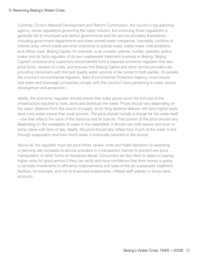#### 5: Reversing Beijing's Water Crisis

Currently, China's National Development and Reform Commission, the country's top planning agency, issues regulations governing the water industry, but enforcing those regulations is generally left to municipal and district governments and the service providers themselves – including government departments and state-owned water companies. Inevitably, conflicts of interest arise, which create perverse incentives to pollute water, waste water, hide problems and inflate costs. Beijing Capital, for example, is an investor, planner, builder, operator, policymaker and de facto regulator of its own wastewater treatment business in Beijing. Beijing Capital's investors and customers would benefit from a separate economic regulator that sets price limits, reviews its costs, and ensures that Beijing Capital and other service providers are providing consumers with the best quality water services at fair prices to both parties. (In parallel, the country's environmental regulator, State Environmental Protection Agency, must ensure that water and sewerage companies comply with the country's laws pertaining to water source development and protection.)

Ideally, the economic regulator should ensure that water prices cover the full cost of the infrastructure required to treat, store and distribute the water. Prices should vary depending on the users' distance from the source of supply, since long distance delivery will have higher costs (and more water losses) than local sources. The price should include a charge for the water itself – one that reflects the value of the resource and its scarcity. That portion of the price should vary depending on the availability of water in the watershed; it should vary with season and even in some cases with time of day. Ideally, the price should also reflect how much of the water is lost through evaporation and how much water is eventually returned to the source.

Above all, the regulator must set price limits, review costs and make decisions on awarding or denying rate increases to service providers in a transparent manner to prevent any price manipulation or other forms of monopoly abuse. Consumers are less likely to object to paying higher rates for good service if they can verify and have confidence that their money is going to sensible investments in efficiency improvements and state-of-the-art wastewater treatment facilities, for example, and not to ill-advised investments, inflated staff salaries or Swiss bank accounts.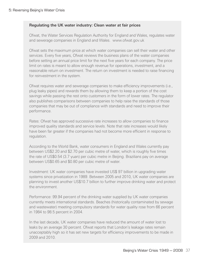#### Regulating the UK water industry: Clean water at fair prices

Ofwat, the Water Services Regulation Authority for England and Wales, regulates water and sewerage companies in England and Wales. www.ofwat.gov.uk

Ofwat sets the maximum price at which water companies can sell their water and other services. Every five years, Ofwat reviews the business plans of the water companies before setting an annual price limit for the next five years for each company. The price limit on rates is meant to allow enough revenue for operations, investment, and a reasonable return on investment. The return on investment is needed to raise financing for reinvestment in the system.

Ofwat requires water and sewerage companies to make efficiency improvements (i.e., plug leaky pipes) and rewards them by allowing them to keep a portion of the cost savings while passing the rest onto customers in the form of lower rates. The regulator also publishes comparisons between companies to help raise the standards of those companies that may be out of compliance with standards and need to improve their performance.

Rates: Ofwat has approved successive rate increases to allow companies to finance improved quality standards and service levels. Note that rate increases would likely have been far greater if the companies had not become more efficient in response to regulation.

According to the World Bank, water consumers in England and Wales currently pay between US\$2.20 and \$2.70 per cubic metre of water, which is roughly five times the rate of US\$0.54 (3.7 yuan) per cubic metre in Beijing. Brazilians pay on average between US\$0.65 and \$0.80 per cubic metre of water.

Investment: UK water companies have invested US\$ 97 billion in upgrading water systems since privatization in 1989. Between 2005 and 2010, UK water companies are planning to invest another US\$10.7 billion to further improve drinking water and protect the environment.

Performance: 99.94 percent of the drinking water supplied by UK water companies currently meets international standards. Beaches (historically contaminated by sewage and wastewater) meeting compulsory standards for water quality rose from 66 percent in 1984 to 98.5 percent in 2004.

In the last decade, UK water companies have reduced the amount of water lost to leaks by an average 30 percent. Ofwat reports that London's leakage rates remain unacceptably high so it has set new targets for efficiency improvements to be made in 2009 and 2010.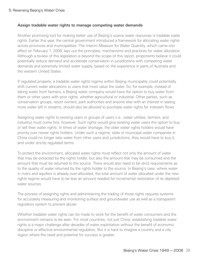#### 5: Reversing Beijing's Water Crisis

#### Assign tradable water rights to manage competing water demands

Another promising tool for making better use of Beijing's scarce water resources is tradable water rights. Earlier this year, the central government introduced a framework for allocating water rights across provinces and municipalities. The Interim Measure for Water Quantity, which came into effect on February 1, 2008, lays out the principles, mechanisms and practices for water allocation. Although a review of this legislation is beyond the scope of this report, proponents believe it could potentially reduce demand and accelerate conservation in jurisdictions with competing water demands and extremely limited water supply, based on the experience in parts of Australia and the western United States.

If regulated properly, a tradable water rights regime within Beijing municipality could potentially shift current water allocations to users that most value the water. So, for example, instead of taking water from farmers, a Beijing water company would have the option to buy water from them or other users with prior rights, whether agricultural or industrial. Other parties, such as conservation groups, resort owners, park authorities and anyone else with an interest in seeing more water left in streams, should also be allowed to purchase water rights for instream flows.

Assigning water rights to existing users or groups of users (i.e., water utilities, farmers, and industry) must come first, however. Such rights would give existing water users the option to buy or sell their water rights. In times of water shortage, the older water rights holders would have priority over newer rights holders. Under such a regime, state or municipal water companies in China could no longer take water from other users and jurisdictions, they would have to buy it, and under strictly regulated terms.

To protect the environment, allocated water rights must reflect not only the amount of water that may be extracted by the rights holder, but also the amount that may be consumed and the amount that must be returned to the source. There would also need to be strict requirements as to the quality of water returned by the rights holder to the source. In Beijing's case, where water in rivers and aquifers is already over-allocated, the total amount of water allocated under the new rights regime would have to be less an amount needed for incremental restoration of its depleted water sources.

The process of assigning rights and administering the trading of those rights requires systems for accurately measuring and monitoring surface and groundwater use as well as a transparent regulatory system to prevent abuse.

Whether tradable water rights can be made to work for the benefit of water consumers and the environment remains to be seen. For most countries, not just China, establishing tradable water rights is a major challenge after decades of water exploitation without the benefit of economic discipline or effective environmental regulation. But it is hard to imagine a country and a city region where the need and potential for success is greater.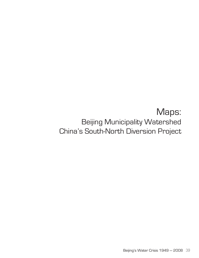### Maps: Beijing Municipality Watershed China's South-North Diversion Project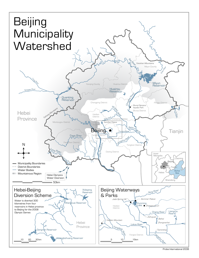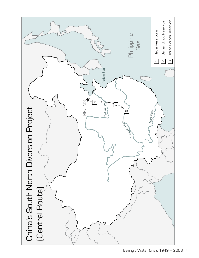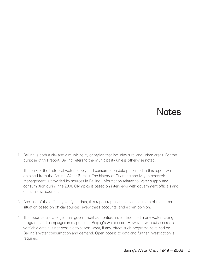# **Notes**

- 1. Beijing is both a city and a municipality or region that includes rural and urban areas. For the purpose of this report, Beijing refers to the municipality unless otherwise noted.
- 2. The bulk of the historical water supply and consumption data presented in this report was obtained from the Beijing Water Bureau. The history of Guanting and Miyun reservoir management is provided by sources in Beijing. Information related to water supply and consumption during the 2008 Olympics is based on interviews with government officials and official news sources.
- 3. Because of the difficulty verifying data, this report represents a best estimate of the current situation based on official sources, eyewitness accounts, and expert opinion.
- 4. The report acknowledges that government authorities have introduced many water-saving programs and campaigns in response to Beijing's water crisis. However, without access to verifiable data it is not possible to assess what, if any, effect such programs have had on Beijing's water consumption and demand. Open access to data and further investigation is required.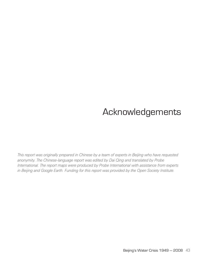# Acknowledgements

*This report was originally prepared in Chinese by a team of experts in Beijing who have requested anonymity. The Chinese-language report was edited by Dai Qing and translated by Probe International. The report maps were produced by Probe International with assistance from experts in Beijing and Google Earth. Funding for this report was provided by the Open Society Institute.*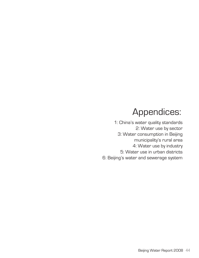# Appendices:

1: China's water quality standards 2: Water use by sector 3: Water consumption in Beijing municipality's rural area 4: Water use by industry 5: Water use in urban districts 6: Beijing's water and sewerage system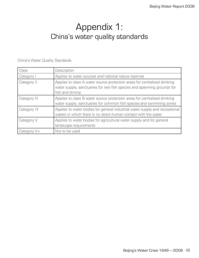### Appendix 1: China's water quality standards

China's Water Quality Standards

| <b>Class</b>   | Description                                                                                                                                                              |
|----------------|--------------------------------------------------------------------------------------------------------------------------------------------------------------------------|
| Category I     | Applies to water sources and national nature reserves                                                                                                                    |
| Category II    | Applies to class A water source protection areas for centralized drinking<br>water supply, sanctuaries for rare fish species and spawning grounds for<br>fish and shrimp |
| Category III   | Applies to class B water source protection areas for centralized drinking<br>water supply, sanctuaries for common fish species and swimming zones                        |
| Category IV    | Applies to water bodies for general industrial water supply and recreational<br>waters in which there is no direct human contact with the water                          |
| Category V     | Applies to water bodies for agricultural water supply and for general<br>landscape requirements                                                                          |
| Category $V +$ | Not to be used                                                                                                                                                           |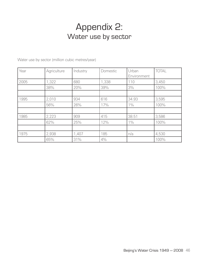# Appendix 2: Water use by sector

Water use by sector (million cubic metres/year)

| Year | Agriculture | Industry | Domestic | Urban<br>Environment | <b>TOTAL</b> |
|------|-------------|----------|----------|----------------------|--------------|
| 2005 | 1,322       | 680      | 1,338    | 110                  | 3,450        |
|      | 38%         | 20%      | 39%      | 3%                   | 100%         |
|      |             |          |          |                      |              |
| 1995 | 2,010       | 934      | 616      | 34.93                | 3,595        |
|      | 56%         | 26%      | 17%      | $1\%$                | 100%         |
|      |             |          |          |                      |              |
| 1985 | 2,223       | 909      | 415      | 38.51                | 3,586        |
|      | 62%         | 25%      | 12%      | $1\%$                | 100%         |
|      |             |          |          |                      |              |
| 1975 | 2,938       | 1,407    | 185      | n/a                  | 4,530        |
|      | 65%         | 31%      | 4%       |                      | 100%         |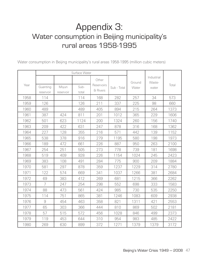# Appendix 3: Water consumption in Beijing municipality's rural areas 1958-1995

Water consumption in Beijing municipality's rural areas 1958-1995 (million cubic meters)

|      | Surface Water         |                    |               |                                 |             |                 |                               |       |
|------|-----------------------|--------------------|---------------|---------------------------------|-------------|-----------------|-------------------------------|-------|
| Year | Guanting<br>reservoir | Miyun<br>reservoir | Sub-<br>total | Other<br>Reservoirs<br>& Rivers | Sub - Total | Ground<br>Water | Industrial<br>Waste-<br>water | Total |
| 1958 | 114                   |                    | 114           | 168                             | 282         | 257             | 34                            | 573   |
| 1959 | 126                   |                    | 126           | 211                             | 337         | 225             | 98                            | 660   |
| 1960 | 489                   |                    | 489           | 405                             | 894         | 215             | 264                           | 1373  |
| 1961 | 387                   | 424                | 811           | 201                             | 1012        | 365             | 229                           | 1606  |
| 1962 | 501                   | 623                | 1124          | 200                             | 1324        | 260             | 156                           | 1740  |
| 1963 | 209                   | 422                | 631           | 247                             | 878         | 316             | 168                           | 1362  |
| 1964 | 227                   | 128                | 355           | 216                             | 571         | 442             | 139                           | 1152  |
| 1965 | 538                   | 378                | 916           | 279                             | 1195        | 580             | 198                           | 1973  |
| 1966 | 189                   | 472                | 661           | 226                             | 887         | 950             | 263                           | 2100  |
| 1967 | 254                   | 251                | 505           | 273                             | 778         | 739             | 181                           | 1698  |
| 1968 | 519                   | 409                | 928           | 226                             | 1154        | 1024            | 245                           | 2423  |
| 1969 | 383                   | 108                | 491           | 284                             | 775         | 900             | 209                           | 1884  |
| 1970 | 581                   | 297                | 878           | 359                             | 1237        | 1229            | 314                           | 2780  |
| 1971 | 122                   | 574                | 669           | 341                             | 1037        | 1266            | 381                           | 2684  |
| 1972 | 69                    | 383                | 412           | 269                             | 681         | 1215            | 366                           | 2262  |
| 1973 | $\overline{7}$        | 247                | 254           | 298                             | 552         | 698             | 333                           | 1583  |
| 1974 | 88                    | 473                | 561           | 424                             | 985         | 730             | 535                           | 2250  |
| 1975 | 114                   | 751                | 865           | 381                             | 1246        | 1083            | 609                           | 2938  |
| 1976 | $\Theta$              | 454                | 463           | 358                             | 821         | 1311            | 421                           | 2553  |
| 1977 | 65                    | 303                | 366           | 444                             | 810         | 869             | 502                           | 2181  |
| 1978 | 57                    | 515                | 572           | 456                             | 1028        | 846             | 499                           | 2373  |
| 1979 | 119                   | 453                | 644           | 310                             | 954         | 983             | 485                           | 2422  |
| 1980 | 269                   | 630                | 899           | 372                             | 1271        | 1379            | 1379                          | 3172  |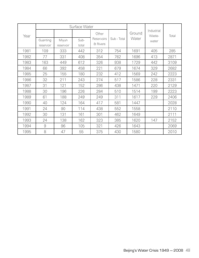|      | Surface Water         |                    |               |                                 |             |                 |                               |       |
|------|-----------------------|--------------------|---------------|---------------------------------|-------------|-----------------|-------------------------------|-------|
| Year | Guanting<br>reservoir | Miyun<br>reservoir | Sub-<br>total | Other<br>Reservoirs<br>& Rivers | Sub - Total | Ground<br>Water | Industrial<br>Waste-<br>water | Total |
| 1981 | 109                   | 333                | 442           | 312                             | 754         | 1691            | 405                           | 285   |
| 1982 | 77                    | 331                | 408           | 354                             | 762         | 1696            | 413                           | 2871  |
| 1983 | 163                   | 449                | 612           | 326                             | 938         | 1729            | 442                           | 3109  |
| 1984 | 66                    | 392                | 458           | 221                             | 679         | 1674            | 329                           | 2682  |
| 1985 | 25                    | 155                | 180           | 232                             | 412         | 1569            | 242                           | 2223  |
| 1986 | 32                    | 211                | 243           | 274                             | 517         | 1586            | 228                           | 2331  |
| 1987 | 31                    | 121                | 152           | 286                             | 438         | 1471            | 220                           | 2129  |
| 1988 | 30                    | 196                | 226           | 284                             | 510         | 1514            | 199                           | 2223  |
| 1989 | 61                    | 188                | 249           | 249                             | 311         | 1617            | 229                           | 2406  |
| 1990 | 40                    | 124                | 164           | 417                             | 581         | 1447            |                               | 2028  |
| 1991 | 24                    | 90                 | 114           | 438                             | 552         | 1558            |                               | 2110  |
| 1992 | 30                    | 131                | 161           | 301                             | 462         | 1649            |                               | 2111  |
| 1993 | 24                    | 138                | 162           | 323                             | 385         | 1620            | 147                           | 2152  |
| 1994 | 9                     | 96                 | 105           | 321                             | 426         | 1643            |                               | 2069  |
| 1995 | 8                     | 47                 | 55            | 375                             | 430         | 1580            |                               | 2010  |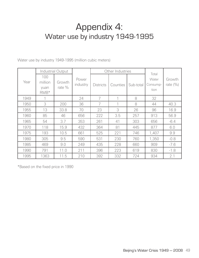## Appendix 4: Water use by industry 1949-1995

Water use by industry 1949-1995 (million cubic meters)

|      | Industrial Output                 |                  |                   | Other Industries |          |           |                                    |                       |
|------|-----------------------------------|------------------|-------------------|------------------|----------|-----------|------------------------------------|-----------------------|
| Year | 100<br>million<br>yuan<br>$RMB^*$ | Growth<br>rate % | Power<br>industry | <b>Districts</b> | Counties | Sub-total | Total<br>Water<br>Consump-<br>tion | Growth<br>rate $(\%)$ |
| 1949 |                                   |                  | 24                | 7                |          | 8         | 32                                 |                       |
| 1950 | 3                                 | 200              | 36                | 7                |          | 8         | 44                                 | 40.3                  |
| 1955 | 13                                | 33.8             | 70                | 23               | 3        | 26        | 96                                 | 16.9                  |
| 1960 | 85                                | 46               | 656               | 222              | 3.5      | 257       | 913                                | 56.9                  |
| 1965 | 54                                | 3.7              | 353               | 261              | 41       | 303       | 656                                | $-6.4$                |
| 1970 | 118                               | 15.9             | 432               | 364              | 81       | 445       | 877                                | 6.0                   |
| 1975 | 193                               | 10.5             | 661               | 525              | 221      | 746       | 1,407                              | 9.9                   |
| 1980 | 305                               | 9.5              | 590               | 531              | 230      | 760       | 1,350                              | $-0.8$                |
| 1985 | 469                               | 9.0              | 249               | 435              | 228      | 660       | 909                                | $-7.6$                |
| 1990 | 791                               | 11.0             | 211               | 396              | 223      | 619       | 830                                | $-1.8$                |
| 1995 | 1363                              | 11.5             | 210               | 392              | 332      | 724       | 934                                | 2.1                   |

\*Based on the fixed price in 1990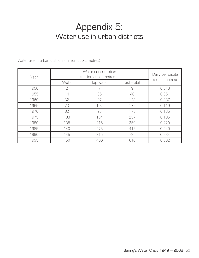## Appendix 5: Water use in urban districts

|      | Water consumption     | Daily per capita<br>(cubic metres) |           |       |
|------|-----------------------|------------------------------------|-----------|-------|
| Year | (million cubic metres |                                    |           |       |
|      | Wells                 | Tap water                          | Sub-total |       |
| 1950 | $\overline{2}$        |                                    | 9         | 0.018 |
| 1955 | 14                    | 35                                 | 48        | 0.051 |
| 1960 | 32                    | 97                                 | 129       | 0.087 |
| 1965 | 73                    | 102                                | 175       | 0.119 |
| 1970 | 82                    | 93                                 | 175       | 0.135 |
| 1975 | 103                   | 154                                | 257       | 0.185 |
| 1980 | 135                   | 215                                | 350       | 0.220 |
| 1985 | 140                   | 275                                | 415       | 0.240 |
| 1990 | 145                   | 315                                | 46        | 0.234 |
| 1995 | 150                   | 466                                | 616       | 0.302 |

Water use in urban districts (million cubic metres)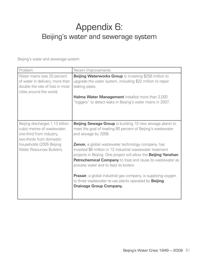# Appendix 6: Beijing's water and sewerage system

Beijing's water and sewerage system

| Problem                                                                                                                       | Recent Improvements                                                                                                                                                                                                                                                                                        |
|-------------------------------------------------------------------------------------------------------------------------------|------------------------------------------------------------------------------------------------------------------------------------------------------------------------------------------------------------------------------------------------------------------------------------------------------------|
| Water mains lose 20 percent<br>of water in delivery; more than<br>double the rate of loss in most<br>cities around the world. | Beijing Waterworks Group is investing \$256 million to<br>upgrade the water system, including \$22 million to repair<br>leaking pipes.<br>Halma Water Management installed more than 3,000                                                                                                                 |
|                                                                                                                               | "loggers" to detect leaks in Beijing's water mains in 2007.                                                                                                                                                                                                                                                |
| Beijing discharges 1.13 billion<br>cubic metres of wastewater;<br>one-third from industry,<br>two-thirds from domestic        | <b>Beijing Sewage Group</b> is building 10 new sewage plants to<br>meet the goal of treating 90 percent of Beijing's wastewater<br>and sewage by 2008.                                                                                                                                                     |
| households (2005 Beijing<br>Water Resources Bulletin).                                                                        | <b>Zenon</b> , a global wastewater technology company, has<br>invested \$6 million in 12 industrial wastewater treatment<br>projects in Beijing. One project will allow the <b>Beijing Yanshan</b><br>Petrochemical Company to treat and reuse its wastewater as<br>process water and to feed its boilers. |
|                                                                                                                               | Praxair, a global industrial gas company, is supplying oxygen<br>to three wastewater re-use plants operated by <b>Beijing</b><br><b>Drainage Group Company.</b>                                                                                                                                            |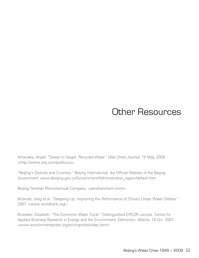# Other Resources

Athavaley, Anjalil. "Sewer to Spigot: Recycled Water." *Wall Street Journal*, 15 May, 2008. <http://online.wsj.com/public/us>

"Beijing's Districts and Counties." Beijing International, the Official Website of the Beijing Government. www.ebeijing.gov.cn/Government/Administration\_region/default.htm

Beijing Yanshan Petrochemical Company. < yanshanchem.com/>

Browder, Greg et al. "Stepping Up: Improving the Performance of China's Urban Water Utilities." 2007. <www.worldbank.org>

Brubaker, Elizabeth. "The Economic Water Cycle." Distinguished EPCOR Lecture, Centre for Applied Business Research in Energy and the Environment, Edmonton, Alberta. 18 Oct. 2007. <www.environmentprobe.org/enviroprobe/index.html>